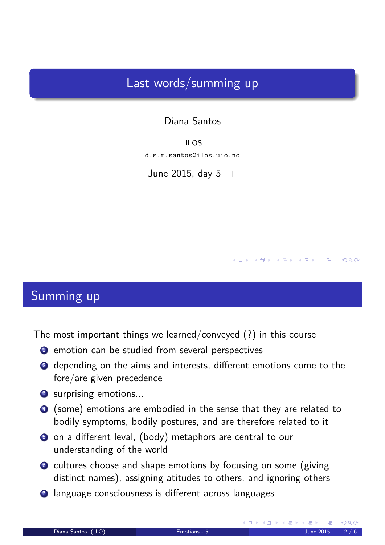## Last words/summing up

Diana Santos

ILOS d.s.m.santos@ilos.uio.no

June 2015, day  $5++$ 

## Summing up

The most important things we learned/conveyed (?) in this course

- **1** emotion can be studied from several perspectives
- 2 depending on the aims and interests, different emotions come to the fore/are given precedence
- <sup>3</sup> surprising emotions...
- <sup>4</sup> (some) emotions are embodied in the sense that they are related to bodily symptoms, bodily postures, and are therefore related to it
- <sup>5</sup> on a different leval, (body) metaphors are central to our understanding of the world
- <sup>6</sup> cultures choose and shape emotions by focusing on some (giving distinct names), assigning atitudes to others, and ignoring others
- <span id="page-0-0"></span><sup>7</sup> language consciousness is different across languages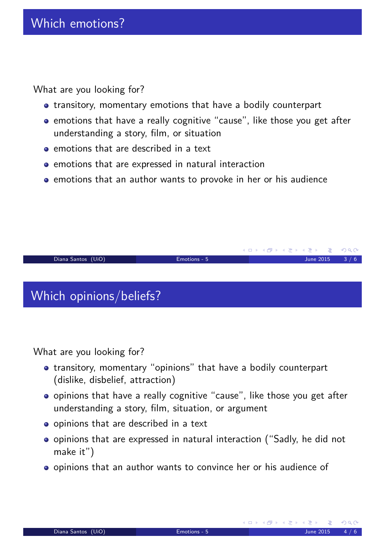What are you looking for?

- **•** transitory, momentary emotions that have a bodily counterpart
- emotions that have a really cognitive "cause", like those you get after understanding a story, film, or situation
- **e** emotions that are described in a text
- **•** emotions that are expressed in natural interaction
- **•** emotions that an author wants to provoke in her or his audience



What are you looking for?

- transitory, momentary "opinions" that have a bodily counterpart (dislike, disbelief, attraction)
- opinions that have a really cognitive "cause", like those you get after understanding a story, film, situation, or argument
- o opinions that are described in a text
- opinions that are expressed in natural interaction ("Sadly, he did not make it")
- <span id="page-1-0"></span>opinions that an author wants to convince her or his audience of